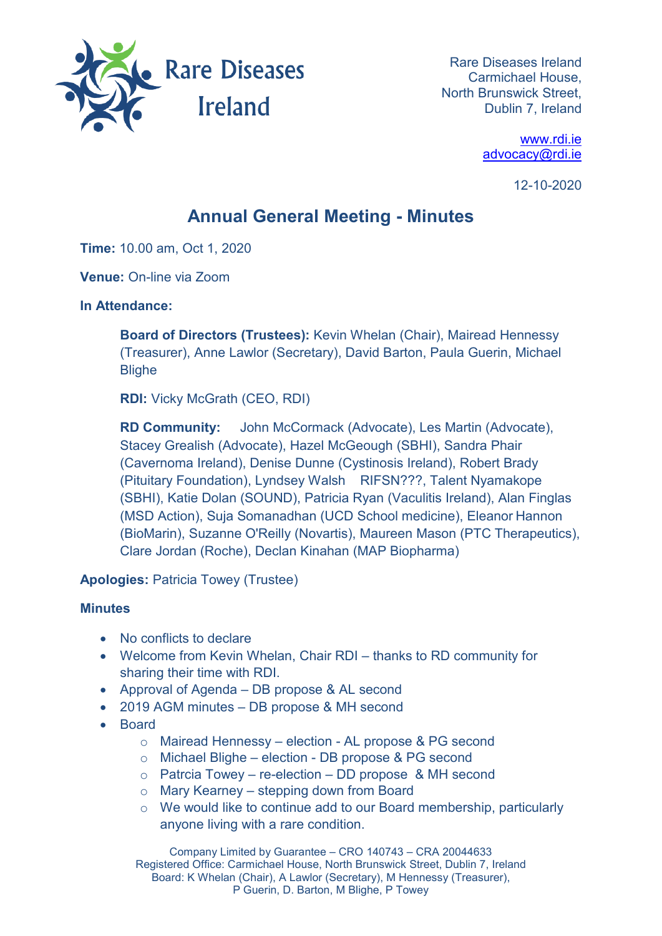

Rare Diseases Ireland Carmichael House, North Brunswick Street, Dublin 7, Ireland

> [www.rdi.ie](http://www.rdi.ie/) [advocacy@rdi.ie](mailto:advocacy@rdi.ie)

> > 12-10-2020

## **Annual General Meeting - Minutes**

**Time:** 10.00 am, Oct 1, 2020

**Venue:** On-line via Zoom

## **In Attendance:**

**Board of Directors (Trustees):** Kevin Whelan (Chair), Mairead Hennessy (Treasurer), Anne Lawlor (Secretary), David Barton, Paula Guerin, Michael **Blighe** 

**RDI:** Vicky McGrath (CEO, RDI)

**RD Community:** John McCormack (Advocate), Les Martin (Advocate), Stacey Grealish (Advocate), Hazel McGeough (SBHI), Sandra Phair (Cavernoma Ireland), Denise Dunne (Cystinosis Ireland), Robert Brady (Pituitary Foundation), Lyndsey Walsh RIFSN???, Talent Nyamakope (SBHI), Katie Dolan (SOUND), Patricia Ryan (Vaculitis Ireland), Alan Finglas (MSD Action), Suja Somanadhan (UCD School medicine), Eleanor Hannon (BioMarin), Suzanne O'Reilly (Novartis), Maureen Mason (PTC Therapeutics), Clare Jordan (Roche), Declan Kinahan (MAP Biopharma)

**Apologies:** Patricia Towey (Trustee)

## **Minutes**

- No conflicts to declare
- Welcome from Kevin Whelan, Chair RDI thanks to RD community for sharing their time with RDI.
- Approval of Agenda DB propose & AL second
- 2019 AGM minutes DB propose & MH second
- Board
	- o Mairead Hennessy election AL propose & PG second
	- o Michael Blighe election DB propose & PG second
	- $\circ$  Patrcia Towey re-election DD propose & MH second
	- o Mary Kearney stepping down from Board
	- o We would like to continue add to our Board membership, particularly anyone living with a rare condition.

Company Limited by Guarantee – CRO 140743 – CRA 20044633 Registered Office: Carmichael House, North Brunswick Street, Dublin 7, Ireland Board: K Whelan (Chair), A Lawlor (Secretary), M Hennessy (Treasurer), P Guerin, D. Barton, M Blighe, P Towey